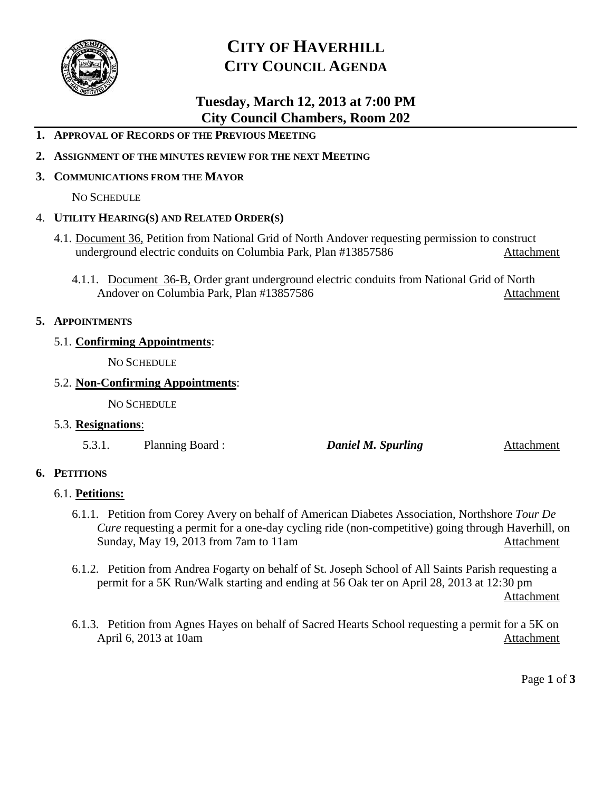

## **CITY OF HAVERHILL CITY COUNCIL AGENDA**

### **Tuesday, March 12, 2013 at 7:00 PM City Council Chambers, Room 202**

- **1. APPROVAL OF RECORDS OF THE PREVIOUS MEETING**
- **2. ASSIGNMENT OF THE MINUTES REVIEW FOR THE NEXT MEETING**

### **3. COMMUNICATIONS FROM THE MAYOR**

NO SCHEDULE

### 4. **UTILITY HEARING(S) AND RELATED ORDER(S)**

- 4.1. Document 36, Petition from National Grid of North Andover requesting permission to construct underground electric conduits on Columbia Park, Plan #13857586 Attachment
	- 4.1.1. Document 36-B, Order grant underground electric conduits from National Grid of North Andover on Columbia Park, Plan #13857586 Attachment

### **5. APPOINTMENTS**

### 5.1. **Confirming Appointments**:

NO SCHEDULE

### 5.2. **Non-Confirming Appointments**:

NO SCHEDULE

#### 5.3. **Resignations**:

5.3.1. Planning Board : *Daniel M. Spurling* Attachment

### **6. PETITIONS**

### 6.1. **Petitions:**

- 6.1.1. Petition from Corey Avery on behalf of American Diabetes Association, Northshore *Tour De Cure* requesting a permit for a one-day cycling ride (non-competitive) going through Haverhill, on Sunday, May 19, 2013 from 7am to 11am Attachment
- 6.1.2. Petition from Andrea Fogarty on behalf of St. Joseph School of All Saints Parish requesting a permit for a 5K Run/Walk starting and ending at 56 Oak ter on April 28, 2013 at 12:30 pm Attachment
- 6.1.3. Petition from Agnes Hayes on behalf of Sacred Hearts School requesting a permit for a 5K on April 6, 2013 at 10am Attachment

Page **1** of **3**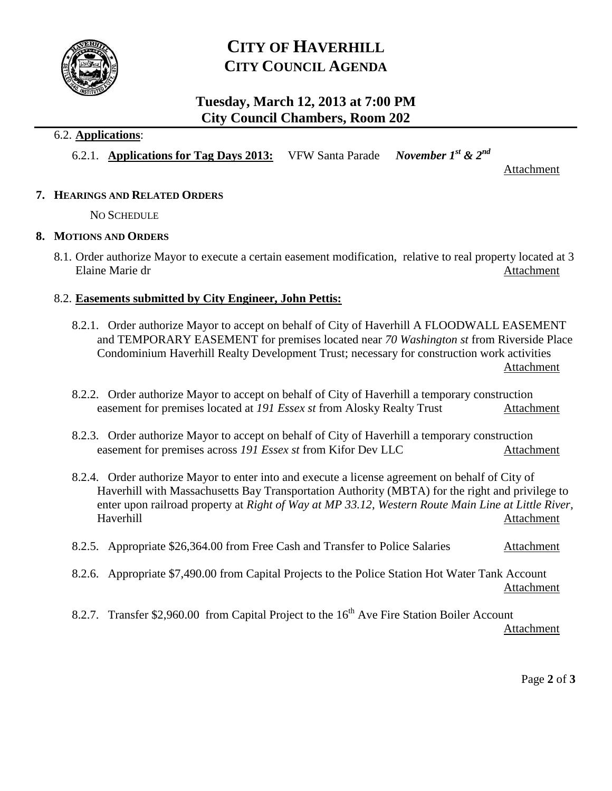

## **CITY OF HAVERHILL CITY COUNCIL AGENDA**

### **Tuesday, March 12, 2013 at 7:00 PM City Council Chambers, Room 202**

### 6.2. **Applications**:

6.2.1. **Applications for Tag Days 2013:** VFW Santa Parade *November 1st & 2nd*

Attachment

### **7. HEARINGS AND RELATED ORDERS**

NO SCHEDULE

### **8. MOTIONS AND ORDERS**

8.1. Order authorize Mayor to execute a certain easement modification, relative to real property located at 3 Elaine Marie dr Attachment

### 8.2. **Easements submitted by City Engineer, John Pettis:**

- 8.2.1. Order authorize Mayor to accept on behalf of City of Haverhill A FLOODWALL EASEMENT and TEMPORARY EASEMENT for premises located near *70 Washington st* from Riverside Place Condominium Haverhill Realty Development Trust; necessary for construction work activities Attachment
- 8.2.2. Order authorize Mayor to accept on behalf of City of Haverhill a temporary construction easement for premises located at *191 Essex st* from Alosky Realty Trust Attachment
- 8.2.3. Order authorize Mayor to accept on behalf of City of Haverhill a temporary construction easement for premises across *191 Essex st* from Kifor Dev LLC Attachment
- 8.2.4. Order authorize Mayor to enter into and execute a license agreement on behalf of City of Haverhill with Massachusetts Bay Transportation Authority (MBTA) for the right and privilege to enter upon railroad property at *Right of Way at MP 33.12, Western Route Main Line at Little River,*  Haverhill Attachment
- 8.2.5. Appropriate \$26,364.00 from Free Cash and Transfer to Police Salaries Attachment
- 8.2.6. Appropriate \$7,490.00 from Capital Projects to the Police Station Hot Water Tank Account Attachment
- 8.2.7. Transfer \$2,960.00 from Capital Project to the  $16<sup>th</sup>$  Ave Fire Station Boiler Account Attachment

Page **2** of **3**